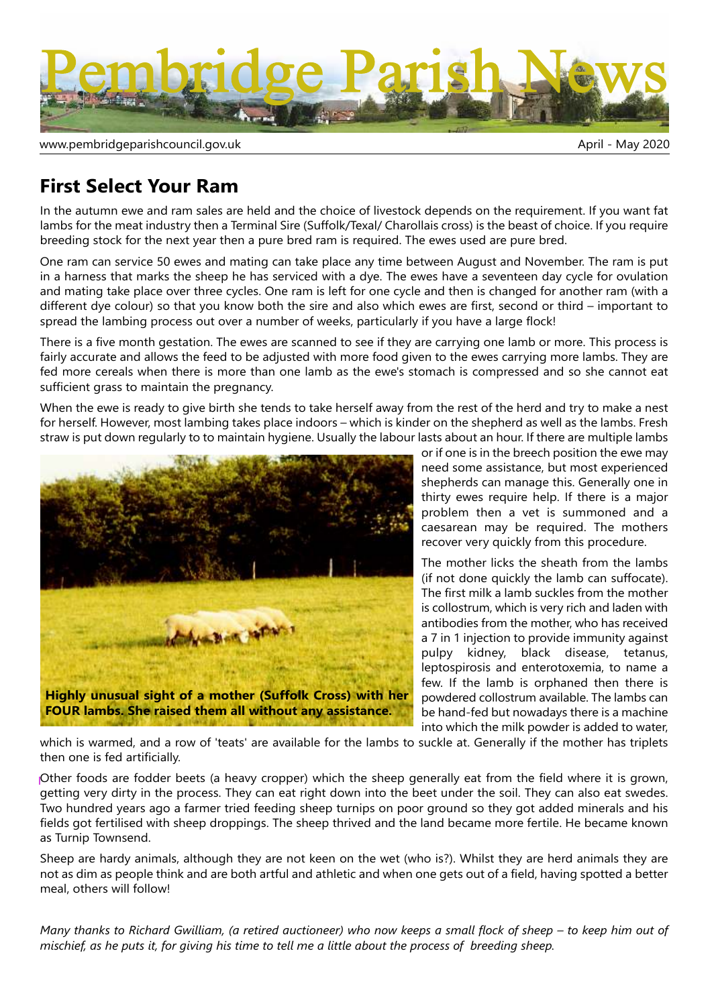

www.pembridgeparishcouncil.gov.uk and the state of the state of the May 2020 April - May 2020

## **First Select Your Ram**

In the autumn ewe and ram sales are held and the choice of livestock depends on the requirement. If you want fat lambs for the meat industry then a Terminal Sire (Suffolk/Texal/ Charollais cross) is the beast of choice. If you require breeding stock for the next year then a pure bred ram is required. The ewes used are pure bred.

One ram can service 50 ewes and mating can take place any time between August and November. The ram is put in a harness that marks the sheep he has serviced with a dye. The ewes have a seventeen day cycle for ovulation and mating take place over three cycles. One ram is left for one cycle and then is changed for another ram (with a different dye colour) so that you know both the sire and also which ewes are first, second or third – important to spread the lambing process out over a number of weeks, particularly if you have a large flock!

There is a five month gestation. The ewes are scanned to see if they are carrying one lamb or more. This process is fairly accurate and allows the feed to be adjusted with more food given to the ewes carrying more lambs. They are fed more cereals when there is more than one lamb as the ewe's stomach is compressed and so she cannot eat sufficient grass to maintain the pregnancy.

straw is put down regularly to to maintain hygiene. Usually the labour lasts about an hour. If there are multiple lambs<br>Last figure is in the hyges has sition the quesses When the ewe is ready to give birth she tends to take herself away from the rest of the herd and try to make a nest for herself. However, most lambing takes place indoors – which is kinder on the shepherd as well as the lambs. Fresh



or if one is in the breech position the ewe may need some assistance, but most experienced shepherds can manage this. Generally one in thirty ewes require help. If there is a major problem then a vet is summoned and a caesarean may be required. The mothers recover very quickly from this procedure.

The mother licks the sheath from the lambs (if not done quickly the lamb can suffocate). The first milk a lamb suckles from the mother is collostrum, which is very rich and laden with antibodies from the mother, who has received a 7 in 1 injection to provide immunity against pulpy kidney, black disease, tetanus, leptospirosis and enterotoxemia, to name a few. If the lamb is orphaned then there is powdered collostrum available. The lambs can be hand-fed but nowadays there is a machine into which the milk powder is added to water,

which is warmed, and a row of 'teats' are available for the lambs to suckle at. Generally if the mother has triplets then one is fed artificially.

Other foods are fodder beets (a heavy cropper) which the sheep generally eat from the field where it is grown, getting very dirty in the process. They can eat right down into the beet under the soil. They can also eat swedes. Two hundred years ago a farmer tried feeding sheep turnips on poor ground so they got added minerals and his fields got fertilised with sheep droppings. The sheep thrived and the land became more fertile. He became known as Turnip Townsend.

Sheep are hardy animals, although they are not keen on the wet (who is?). Whilst they are herd animals they are not as dim as people think and are both artful and athletic and when one gets out of a field, having spotted a better meal, others will follow!

*Many thanks to Richard Gwilliam, (a retired auctioneer) who now keeps a small flock of sheep – to keep him out of mischief, as he puts it, for giving his time to tell me a little about the process of breeding sheep.*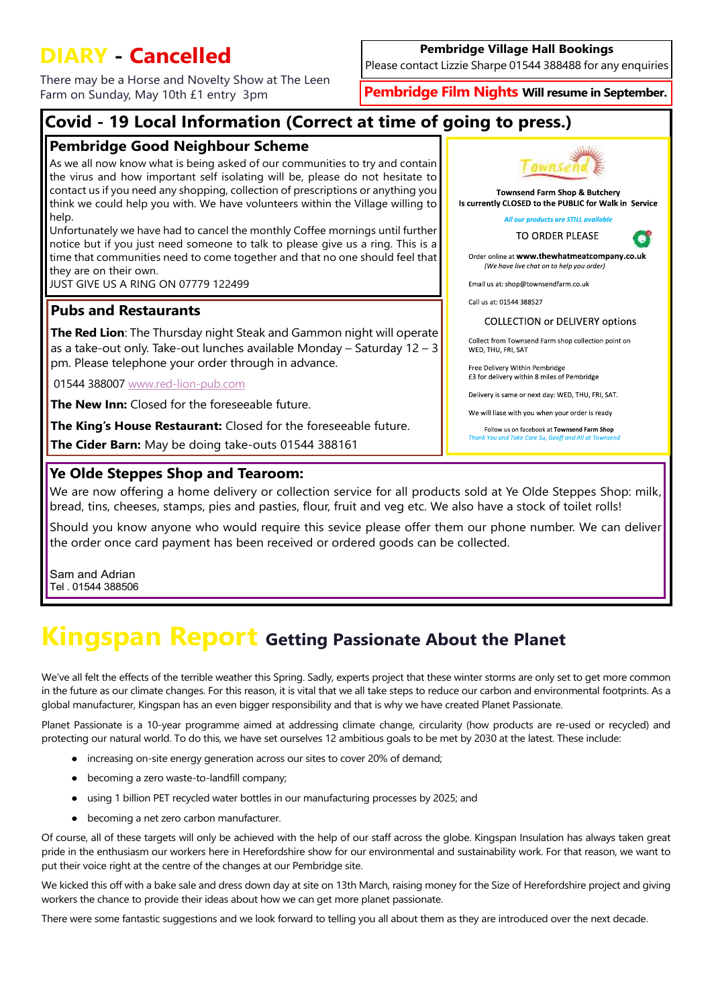## **DIARY - Cancelled**

There may be a Horse and Novelty Show at The Leen Farm on Sunday, May 10th £1 entry 3pm

### **Pembridge Village Hall Bookings**

Please contact Lizzie Sharpe 01544 388488 for any enquiries

**Pembridge Film Nights Will resume in September.**

## **Covid - 19 Local Information (Correct at time of going to press.)**

### **Pembridge Good Neighbour Scheme**

As we all now know what is being asked of our communities to try and contain the virus and how important self isolating will be, please do not hesitate to contact us if you need any shopping, collection of prescriptions or anything you think we could help you with. We have volunteers within the Village willing to help.

Unfortunately we have had to cancel the monthly Coffee mornings until further notice but if you just need someone to talk to please give us a ring. This is a time that communities need to come together and that no one should feel that they are on their own.

JUST GIVE US A RING ON 07779 122499

### **Pubs and Restaurants**

**The Red Lion**: The Thursday night Steak and Gammon night will operate as a take-out only. Take-out lunches available Monday – Saturday 12 – 3 pm. Please telephone your order through in advance.

01544 388007 <www.red-lion-pub.com>

**The New Inn:** Closed for the foreseeable future.

**The King's House Restaurant:** Closed for the foreseeable future.

**The Cider Barn:** May be doing take-outs 01544 388161

### **Ye Olde Steppes Shop and Tearoom:**



**Townsend Farm Shop & Butcherv** Is currently CLOSED to the PUBLIC for Walk in Service

All our products are STILL available



c

Order online at www.thewhatmeatcompany.co.uk (We have live chat on to help you order)

Email us at: shop@townsendfarm.co.uk

Call us at: 01544 388527

### **COLLECTION or DELIVERY options**

Collect from Townsend Farm shop collection point on WFD. THU. FRI. SAT

Free Delivery Within Pembridge £3 for delivery within 8 miles of Pembridge

Delivery is same or next day: WED, THU, FRI, SAT.

We will liase with you when your order is ready

Follow us on facebook at Townsend Farm Shop Than ke Care Sull

We are now offering a home delivery or collection service for all products sold at Ye Olde Steppes Shop: milk, bread, tins, cheeses, stamps, pies and pasties, flour, fruit and veg etc. We also have a stock of toilet rolls!

Should you know anyone who would require this sevice please offer them our phone number. We can deliver the order once card payment has been received or ordered goods can be collected.

Sam and Adrian Tel . 01544 388506

# **Kingspan Report Getting Passionate About the Planet**

We've all felt the effects of the terrible weather this Spring. Sadly, experts project that these winter storms are only set to get more common in the future as our climate changes. For this reason, it is vital that we all take steps to reduce our carbon and environmental footprints. As a global manufacturer, Kingspan has an even bigger responsibility and that is why we have created Planet Passionate.

Planet Passionate is a 10-year programme aimed at addressing climate change, circularity (how products are re-used or recycled) and protecting our natural world. To do this, we have set ourselves 12 ambitious goals to be met by 2030 at the latest. These include:

- increasing on-site energy generation across our sites to cover 20% of demand;
- becoming a zero waste-to-landfill company;
- using 1 billion PET recycled water bottles in our manufacturing processes by 2025; and
- becoming a net zero carbon manufacturer.

Of course, all of these targets will only be achieved with the help of our staff across the globe. Kingspan Insulation has always taken great pride in the enthusiasm our workers here in Herefordshire show for our environmental and sustainability work. For that reason, we want to put their voice right at the centre of the changes at our Pembridge site.

We kicked this off with a bake sale and dress down day at site on 13th March, raising money for the Size of Herefordshire project and giving workers the chance to provide their ideas about how we can get more planet passionate.

There were some fantastic suggestions and we look forward to telling you all about them as they are introduced over the next decade.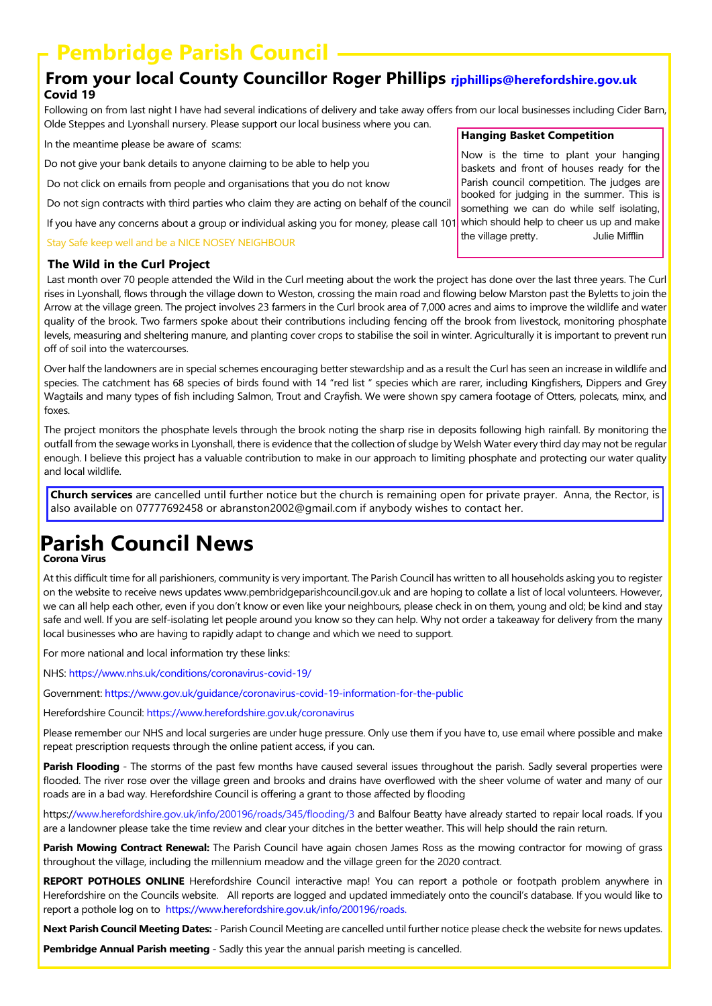## **Pembridge Parish Council**

### **From your local County Councillor Roger Phillips rjphillips@herefordshire.gov.uk Covid 19**

Following on from last night I have had several indications of delivery and take away offers from our local businesses including Cider Barn, Olde Steppes and Lyonshall nursery. Please support our local business where you can.

In the meantime please be aware of scams:

Do not give your bank details to anyone claiming to be able to help you

Do not click on emails from people and organisations that you do not know

Do not sign contracts with third parties who claim they are acting on behalf of the council

If you have any concerns about a group or individual asking you for money, please call 101.

Stay Safe keep well and be a NICE NOSEY NEIGHBOUR

### **The Wild in the Curl Project**

 Last month over 70 people attended the Wild in the Curl meeting about the work the project has done over the last three years. The Curl rises in Lyonshall, flows through the village down to Weston, crossing the main road and flowing below Marston past the Byletts to join the Arrow at the village green. The project involves 23 farmers in the Curl brook area of 7,000 acres and aims to improve the wildlife and water quality of the brook. Two farmers spoke about their contributions including fencing off the brook from livestock, monitoring phosphate levels, measuring and sheltering manure, and planting cover crops to stabilise the soil in winter. Agriculturally it is important to prevent run off of soil into the watercourses.

Over half the landowners are in special schemes encouraging better stewardship and as a result the Curl has seen an increase in wildlife and species. The catchment has 68 species of birds found with 14 "red list " species which are rarer, including Kingfishers, Dippers and Grey Wagtails and many types of fish including Salmon, Trout and Crayfish. We were shown spy camera footage of Otters, polecats, minx, and foxes.

The project monitors the phosphate levels through the brook noting the sharp rise in deposits following high rainfall. By monitoring the outfall from the sewage works in Lyonshall, there is evidence that the collection of sludge by Welsh Water every third day may not be regular enough. I believe this project has a valuable contribution to make in our approach to limiting phosphate and protecting our water quality and local wildlife.

**Church services** are cancelled until further notice but the church is remaining open for private prayer. Anna, the Rector, is also available on 07777692458 or abranston2002@gmail.com if anybody wishes to contact her.

# **Parish Council News**

**Corona Virus**

At this difficult time for all parishioners, community is very important. The Parish Council has written to all households asking you to register on the website to receive news updates www.pembridgeparishcouncil.gov.uk and are hoping to collate a list of local volunteers. However, we can all help each other, even if you don't know or even like your neighbours, please check in on them, young and old; be kind and stay safe and well. If you are self-isolating let people around you know so they can help. Why not order a takeaway for delivery from the many local businesses who are having to rapidly adapt to change and which we need to support.

For more national and local information try these links:

NHS: https://www.nhs.uk/conditions/coronavirus-covid-19/

Government: https://www.gov.uk/guidance/coronavirus-covid-19-information-for-the-public

Herefordshire Council: https://www.herefordshire.gov.uk/coronavirus

Please remember our NHS and local surgeries are under huge pressure. Only use them if you have to, use email where possible and make repeat prescription requests through the online patient access, if you can.

**Parish Flooding** - The storms of the past few months have caused several issues throughout the parish. Sadly several properties were flooded. The river rose over the village green and brooks and drains have overflowed with the sheer volume of water and many of our roads are in a bad way. Herefordshire Council is offering a grant to those affected by flooding

https://www.herefordshire.gov.uk/info/200196/roads/345/flooding/3 and Balfour Beatty have already started to repair local roads. If you are a landowner please take the time review and clear your ditches in the better weather. This will help should the rain return.

**Parish Mowing Contract Renewal:** The Parish Council have again chosen James Ross as the mowing contractor for mowing of grass throughout the village, including the millennium meadow and the village green for the 2020 contract.

**REPORT POTHOLES ONLINE** Herefordshire Council interactive map! You can report a pothole or footpath problem anywhere in Herefordshire on the Councils website. All reports are logged and updated immediately onto the council's database. If you would like to report a pothole log on to https://www.herefordshire.gov.uk/info/200196/roads.

**Next Parish Council Meeting Dates:** - Parish Council Meeting are cancelled until further notice please check the website for news updates.

**Pembridge Annual Parish meeting** - Sadly this year the annual parish meeting is cancelled.

#### **Hanging Basket Competition**

Now is the time to plant your hanging baskets and front of houses ready for the Parish council competition. The judges are booked for judging in the summer. This is something we can do while self isolating, which should help to cheer us up and make the village pretty. Julie Mifflin